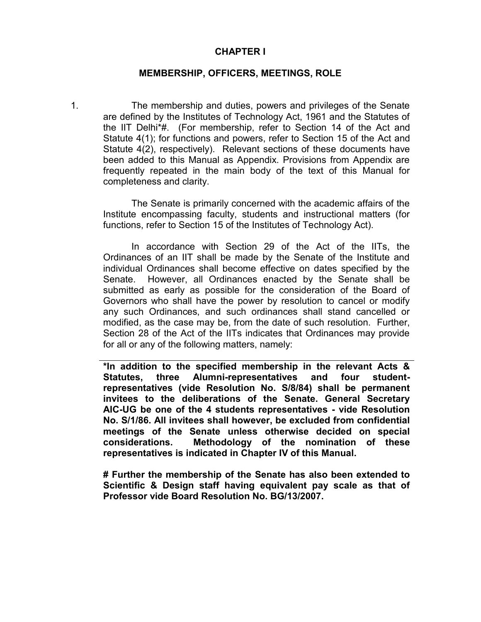#### **CHAPTER I**

#### **MEMBERSHIP, OFFICERS, MEETINGS, ROLE**

1. The membership and duties, powers and privileges of the Senate are defined by the Institutes of Technology Act, 1961 and the Statutes of the IIT Delhi\*#. (For membership, refer to Section 14 of the Act and Statute 4(1); for functions and powers, refer to Section 15 of the Act and Statute 4(2), respectively). Relevant sections of these documents have been added to this Manual as Appendix. Provisions from Appendix are frequently repeated in the main body of the text of this Manual for completeness and clarity.

The Senate is primarily concerned with the academic affairs of the Institute encompassing faculty, students and instructional matters (for functions, refer to Section 15 of the Institutes of Technology Act).

In accordance with Section 29 of the Act of the IITs, the Ordinances of an IIT shall be made by the Senate of the Institute and individual Ordinances shall become effective on dates specified by the Senate. However, all Ordinances enacted by the Senate shall be submitted as early as possible for the consideration of the Board of Governors who shall have the power by resolution to cancel or modify any such Ordinances, and such ordinances shall stand cancelled or modified, as the case may be, from the date of such resolution. Further, Section 28 of the Act of the IITs indicates that Ordinances may provide for all or any of the following matters, namely:

**\*In addition to the specified membership in the relevant Acts & Statutes, three Alumni-representatives and four studentrepresentatives (vide Resolution No. S/8/84) shall be permanent invitees to the deliberations of the Senate. General Secretary AIC-UG be one of the 4 students representatives - vide Resolution No. S/1/86. All invitees shall however, be excluded from confidential meetings of the Senate unless otherwise decided on special considerations. Methodology of the nomination of these representatives is indicated in Chapter IV of this Manual.**

**# Further the membership of the Senate has also been extended to Scientific & Design staff having equivalent pay scale as that of Professor vide Board Resolution No. BG/13/2007.**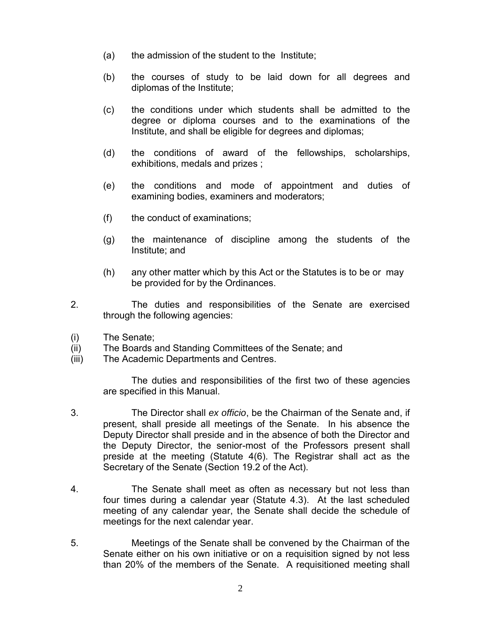- (a) the admission of the student to the Institute;
- (b) the courses of study to be laid down for all degrees and diplomas of the Institute;
- (c) the conditions under which students shall be admitted to the degree or diploma courses and to the examinations of the Institute, and shall be eligible for degrees and diplomas;
- (d) the conditions of award of the fellowships, scholarships, exhibitions, medals and prizes ;
- (e) the conditions and mode of appointment and duties of examining bodies, examiners and moderators;
- (f) the conduct of examinations;
- (g) the maintenance of discipline among the students of the Institute; and
- (h) any other matter which by this Act or the Statutes is to be or may be provided for by the Ordinances.
- 2. The duties and responsibilities of the Senate are exercised through the following agencies:
- (i) The Senate;
- (ii) The Boards and Standing Committees of the Senate; and
- (iii) The Academic Departments and Centres.

The duties and responsibilities of the first two of these agencies are specified in this Manual.

- 3. The Director shall *ex officio*, be the Chairman of the Senate and, if present, shall preside all meetings of the Senate. In his absence the Deputy Director shall preside and in the absence of both the Director and the Deputy Director, the senior-most of the Professors present shall preside at the meeting (Statute 4(6). The Registrar shall act as the Secretary of the Senate (Section 19.2 of the Act).
- 4. The Senate shall meet as often as necessary but not less than four times during a calendar year (Statute 4.3). At the last scheduled meeting of any calendar year, the Senate shall decide the schedule of meetings for the next calendar year.
- 5. Meetings of the Senate shall be convened by the Chairman of the Senate either on his own initiative or on a requisition signed by not less than 20% of the members of the Senate. A requisitioned meeting shall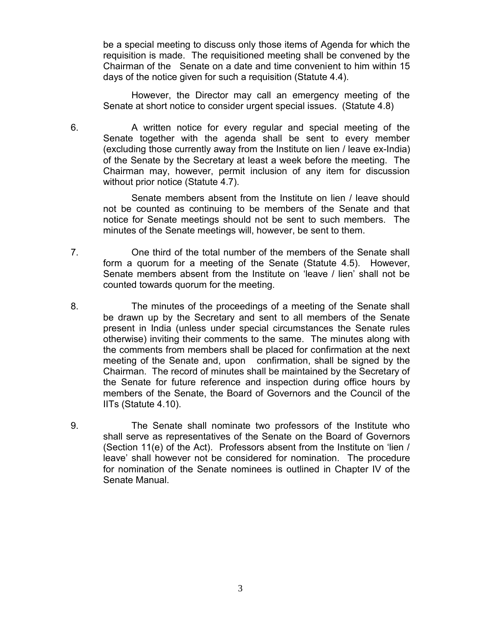be a special meeting to discuss only those items of Agenda for which the requisition is made. The requisitioned meeting shall be convened by the Chairman of the Senate on a date and time convenient to him within 15 days of the notice given for such a requisition (Statute 4.4).

However, the Director may call an emergency meeting of the Senate at short notice to consider urgent special issues. (Statute 4.8)

6. A written notice for every regular and special meeting of the Senate together with the agenda shall be sent to every member (excluding those currently away from the Institute on lien / leave ex-India) of the Senate by the Secretary at least a week before the meeting. The Chairman may, however, permit inclusion of any item for discussion without prior notice (Statute 4.7).

Senate members absent from the Institute on lien / leave should not be counted as continuing to be members of the Senate and that notice for Senate meetings should not be sent to such members. The minutes of the Senate meetings will, however, be sent to them.

- 7. One third of the total number of the members of the Senate shall form a quorum for a meeting of the Senate (Statute 4.5). However, Senate members absent from the Institute on 'leave / lien' shall not be counted towards quorum for the meeting.
- 8. The minutes of the proceedings of a meeting of the Senate shall be drawn up by the Secretary and sent to all members of the Senate present in India (unless under special circumstances the Senate rules otherwise) inviting their comments to the same. The minutes along with the comments from members shall be placed for confirmation at the next meeting of the Senate and, upon confirmation, shall be signed by the Chairman. The record of minutes shall be maintained by the Secretary of the Senate for future reference and inspection during office hours by members of the Senate, the Board of Governors and the Council of the IITs (Statute 4.10).
- 9. The Senate shall nominate two professors of the Institute who shall serve as representatives of the Senate on the Board of Governors (Section 11(e) of the Act). Professors absent from the Institute on 'lien / leave' shall however not be considered for nomination. The procedure for nomination of the Senate nominees is outlined in Chapter IV of the Senate Manual.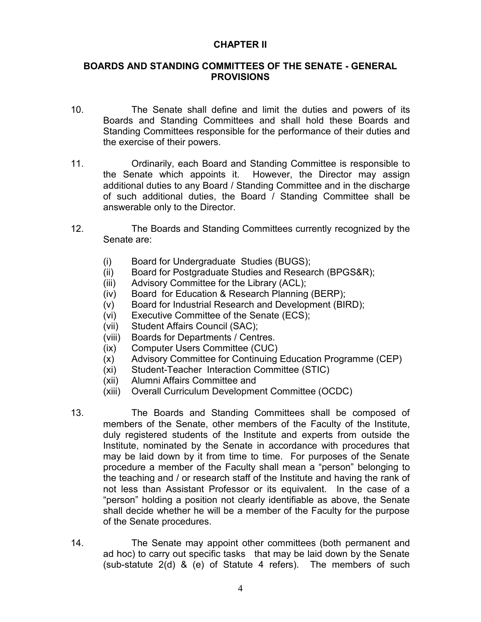#### **CHAPTER II**

#### **BOARDS AND STANDING COMMITTEES OF THE SENATE - GENERAL PROVISIONS**

- 10. The Senate shall define and limit the duties and powers of its Boards and Standing Committees and shall hold these Boards and Standing Committees responsible for the performance of their duties and the exercise of their powers.
- 11. Ordinarily, each Board and Standing Committee is responsible to the Senate which appoints it. However, the Director may assign additional duties to any Board / Standing Committee and in the discharge of such additional duties, the Board / Standing Committee shall be answerable only to the Director.
- 12. The Boards and Standing Committees currently recognized by the Senate are:
	- (i) Board for Undergraduate Studies (BUGS);
	- (ii) Board for Postgraduate Studies and Research (BPGS&R);
	- (iii) Advisory Committee for the Library (ACL);
	- (iv) Board for Education & Research Planning (BERP);
	- (v) Board for Industrial Research and Development (BIRD);
	- (vi) Executive Committee of the Senate (ECS);
	- (vii) Student Affairs Council (SAC);
	- (viii) Boards for Departments / Centres.
	- (ix) Computer Users Committee (CUC)
	- (x) Advisory Committee for Continuing Education Programme (CEP)
	- (xi) Student-Teacher Interaction Committee (STIC)
	- (xii) Alumni Affairs Committee and
	- (xiii) Overall Curriculum Development Committee (OCDC)
- 13. The Boards and Standing Committees shall be composed of members of the Senate, other members of the Faculty of the Institute, duly registered students of the Institute and experts from outside the Institute, nominated by the Senate in accordance with procedures that may be laid down by it from time to time. For purposes of the Senate procedure a member of the Faculty shall mean a "person" belonging to the teaching and / or research staff of the Institute and having the rank of not less than Assistant Professor or its equivalent. In the case of a "person" holding a position not clearly identifiable as above, the Senate shall decide whether he will be a member of the Faculty for the purpose of the Senate procedures.
- 14. The Senate may appoint other committees (both permanent and ad hoc) to carry out specific tasks that may be laid down by the Senate (sub-statute 2(d) & (e) of Statute 4 refers). The members of such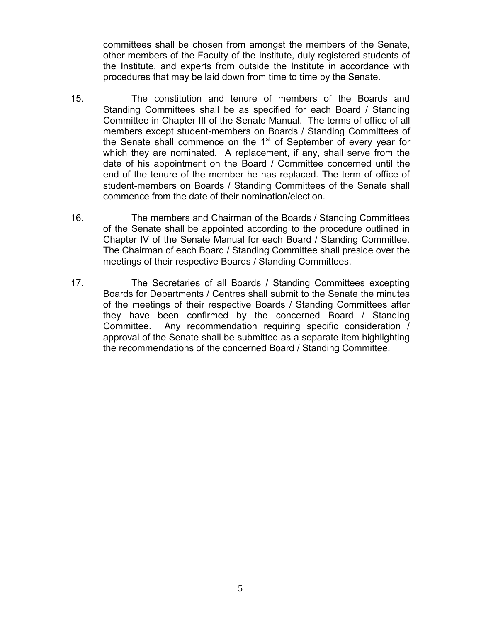committees shall be chosen from amongst the members of the Senate, other members of the Faculty of the Institute, duly registered students of the Institute, and experts from outside the Institute in accordance with procedures that may be laid down from time to time by the Senate.

- 15. The constitution and tenure of members of the Boards and Standing Committees shall be as specified for each Board / Standing Committee in Chapter III of the Senate Manual. The terms of office of all members except student-members on Boards / Standing Committees of the Senate shall commence on the 1<sup>st</sup> of September of every year for which they are nominated. A replacement, if any, shall serve from the date of his appointment on the Board / Committee concerned until the end of the tenure of the member he has replaced. The term of office of student-members on Boards / Standing Committees of the Senate shall commence from the date of their nomination/election.
- 16. The members and Chairman of the Boards / Standing Committees of the Senate shall be appointed according to the procedure outlined in Chapter IV of the Senate Manual for each Board / Standing Committee. The Chairman of each Board / Standing Committee shall preside over the meetings of their respective Boards / Standing Committees.
- 17. The Secretaries of all Boards / Standing Committees excepting Boards for Departments / Centres shall submit to the Senate the minutes of the meetings of their respective Boards / Standing Committees after they have been confirmed by the concerned Board / Standing Committee. Any recommendation requiring specific consideration / approval of the Senate shall be submitted as a separate item highlighting the recommendations of the concerned Board / Standing Committee.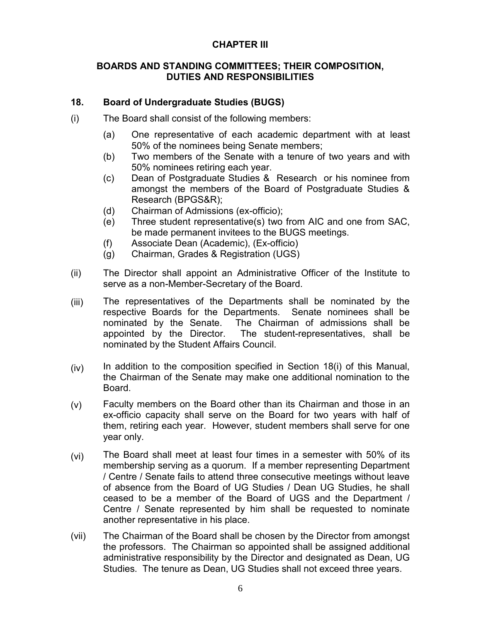#### **CHAPTER III**

#### **BOARDS AND STANDING COMMITTEES; THEIR COMPOSITION, DUTIES AND RESPONSIBILITIES**

#### **18. Board of Undergraduate Studies (BUGS)**

- (i) The Board shall consist of the following members:
	- (a) One representative of each academic department with at least 50% of the nominees being Senate members;
	- (b) Two members of the Senate with a tenure of two years and with 50% nominees retiring each year.
	- (c) Dean of Postgraduate Studies & Research or his nominee from amongst the members of the Board of Postgraduate Studies & Research (BPGS&R);
	- (d) Chairman of Admissions (ex-officio);
	- (e) Three student representative(s) two from AIC and one from SAC, be made permanent invitees to the BUGS meetings.
	- (f) Associate Dean (Academic), (Ex-officio)
	- (g) Chairman, Grades & Registration (UGS)
- (ii) The Director shall appoint an Administrative Officer of the Institute to serve as a non-Member-Secretary of the Board.
- (iii) The representatives of the Departments shall be nominated by the respective Boards for the Departments. Senate nominees shall be nominated by the Senate. The Chairman of admissions shall be The Chairman of admissions shall be. appointed by the Director. The student-representatives, shall be nominated by the Student Affairs Council.
- (iv) In addition to the composition specified in Section 18(i) of this Manual, the Chairman of the Senate may make one additional nomination to the Board.
- (v) Faculty members on the Board other than its Chairman and those in an ex-officio capacity shall serve on the Board for two years with half of them, retiring each year. However, student members shall serve for one year only.
- (vi) The Board shall meet at least four times in a semester with 50% of its membership serving as a quorum. If a member representing Department / Centre / Senate fails to attend three consecutive meetings without leave of absence from the Board of UG Studies / Dean UG Studies, he shall ceased to be a member of the Board of UGS and the Department / Centre / Senate represented by him shall be requested to nominate another representative in his place.
- (vii) The Chairman of the Board shall be chosen by the Director from amongst the professors. The Chairman so appointed shall be assigned additional administrative responsibility by the Director and designated as Dean, UG Studies. The tenure as Dean, UG Studies shall not exceed three years.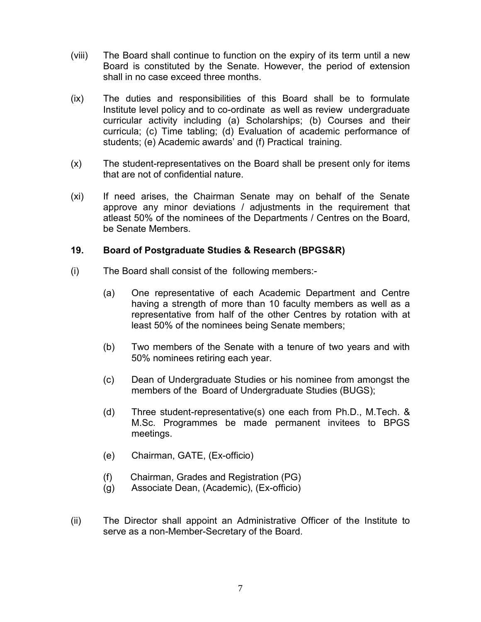- (viii) The Board shall continue to function on the expiry of its term until a new Board is constituted by the Senate. However, the period of extension shall in no case exceed three months.
- (ix) The duties and responsibilities of this Board shall be to formulate Institute level policy and to co-ordinate as well as review undergraduate curricular activity including (a) Scholarships; (b) Courses and their curricula; (c) Time tabling; (d) Evaluation of academic performance of students; (e) Academic awards' and (f) Practical training.
- (x) The student-representatives on the Board shall be present only for items that are not of confidential nature.
- (xi) If need arises, the Chairman Senate may on behalf of the Senate approve any minor deviations / adjustments in the requirement that atleast 50% of the nominees of the Departments / Centres on the Board, be Senate Members.

#### **19. Board of Postgraduate Studies & Research (BPGS&R)**

- (i) The Board shall consist of the following members:-
	- (a) One representative of each Academic Department and Centre having a strength of more than 10 faculty members as well as a representative from half of the other Centres by rotation with at least 50% of the nominees being Senate members;
	- (b) Two members of the Senate with a tenure of two years and with 50% nominees retiring each year.
	- (c) Dean of Undergraduate Studies or his nominee from amongst the members of the Board of Undergraduate Studies (BUGS);
	- (d) Three student-representative(s) one each from Ph.D., M.Tech. & M.Sc. Programmes be made permanent invitees to BPGS meetings.
	- (e) Chairman, GATE, (Ex-officio)
	- (f) Chairman, Grades and Registration (PG)
	- (g) Associate Dean, (Academic), (Ex-officio)
- (ii) The Director shall appoint an Administrative Officer of the Institute to serve as a non-Member-Secretary of the Board.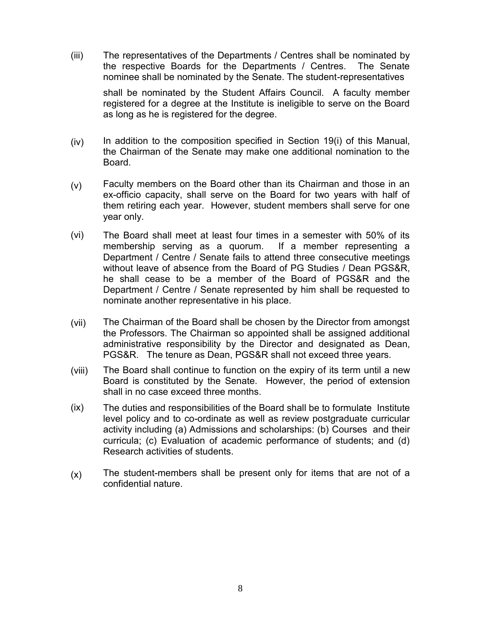(iii) The representatives of the Departments / Centres shall be nominated by the respective Boards for the Departments / Centres. The Senate nominee shall be nominated by the Senate. The student-representatives

shall be nominated by the Student Affairs Council. A faculty member registered for a degree at the Institute is ineligible to serve on the Board as long as he is registered for the degree.

- (iv) In addition to the composition specified in Section 19(i) of this Manual, the Chairman of the Senate may make one additional nomination to the Board.
- (v) Faculty members on the Board other than its Chairman and those in an ex-officio capacity, shall serve on the Board for two years with half of them retiring each year. However, student members shall serve for one year only.
- (vi) The Board shall meet at least four times in a semester with 50% of its membership serving as a quorum. If a member representing a Department / Centre / Senate fails to attend three consecutive meetings without leave of absence from the Board of PG Studies / Dean PGS&R, he shall cease to be a member of the Board of PGS&R and the Department / Centre / Senate represented by him shall be requested to nominate another representative in his place.
- (vii) The Chairman of the Board shall be chosen by the Director from amongst the Professors. The Chairman so appointed shall be assigned additional administrative responsibility by the Director and designated as Dean, PGS&R. The tenure as Dean, PGS&R shall not exceed three years.
- (viii) The Board shall continue to function on the expiry of its term until a new Board is constituted by the Senate. However, the period of extension shall in no case exceed three months.
- (ix) The duties and responsibilities of the Board shall be to formulate Institute level policy and to co-ordinate as well as review postgraduate curricular activity including (a) Admissions and scholarships: (b) Courses and their curricula; (c) Evaluation of academic performance of students; and (d) Research activities of students.
- (x) The student-members shall be present only for items that are not of a confidential nature.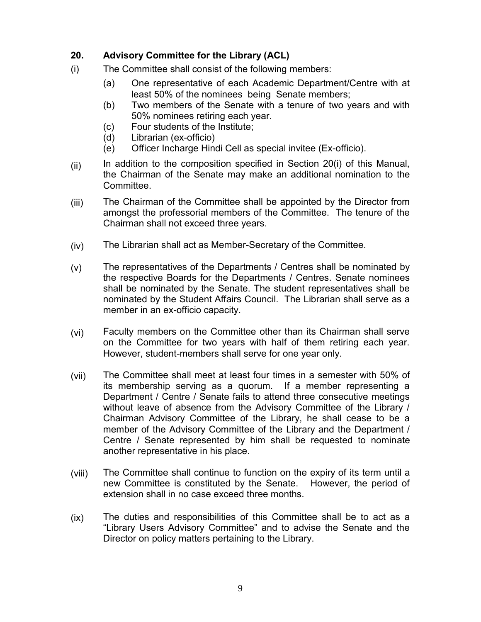## **20. Advisory Committee for the Library (ACL)**

- (i) The Committee shall consist of the following members:
	- (a) One representative of each Academic Department/Centre with at least 50% of the nominees being Senate members;
	- (b) Two members of the Senate with a tenure of two years and with 50% nominees retiring each year.
	- (c) Four students of the Institute;
	- (d) Librarian (ex-officio)
	- (e) Officer Incharge Hindi Cell as special invitee (Ex-officio).
- (ii) In addition to the composition specified in Section 20(i) of this Manual, the Chairman of the Senate may make an additional nomination to the Committee.
- (iii) The Chairman of the Committee shall be appointed by the Director from amongst the professorial members of the Committee. The tenure of the Chairman shall not exceed three years.
- (iv) The Librarian shall act as Member-Secretary of the Committee.
- (v) The representatives of the Departments / Centres shall be nominated by the respective Boards for the Departments / Centres. Senate nominees shall be nominated by the Senate. The student representatives shall be nominated by the Student Affairs Council. The Librarian shall serve as a member in an ex-officio capacity.
- (vi) Faculty members on the Committee other than its Chairman shall serve on the Committee for two years with half of them retiring each year. However, student-members shall serve for one year only.
- (vii) The Committee shall meet at least four times in a semester with 50% of its membership serving as a quorum. If a member representing a Department / Centre / Senate fails to attend three consecutive meetings without leave of absence from the Advisory Committee of the Library / Chairman Advisory Committee of the Library, he shall cease to be a member of the Advisory Committee of the Library and the Department / Centre / Senate represented by him shall be requested to nominate another representative in his place.
- (viii) The Committee shall continue to function on the expiry of its term until a new Committee is constituted by the Senate. However, the period of extension shall in no case exceed three months.
- (ix) The duties and responsibilities of this Committee shall be to act as a "Library Users Advisory Committee" and to advise the Senate and the Director on policy matters pertaining to the Library.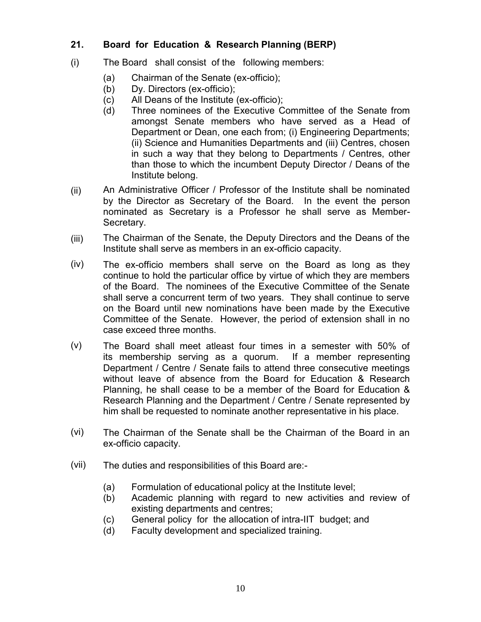### **21. Board for Education & Research Planning (BERP)**

- (i) The Board shall consist of the following members:
	- (a) Chairman of the Senate (ex-officio);
	- (b) Dy. Directors (ex-officio);
	- (c) All Deans of the Institute (ex-officio);
	- (d) Three nominees of the Executive Committee of the Senate from amongst Senate members who have served as a Head of Department or Dean, one each from; (i) Engineering Departments; (ii) Science and Humanities Departments and (iii) Centres, chosen in such a way that they belong to Departments / Centres, other than those to which the incumbent Deputy Director / Deans of the Institute belong.
- (ii) An Administrative Officer / Professor of the Institute shall be nominated by the Director as Secretary of the Board. In the event the person nominated as Secretary is a Professor he shall serve as Member-Secretary.
- (iii) The Chairman of the Senate, the Deputy Directors and the Deans of the Institute shall serve as members in an ex-officio capacity.
- (iv) The ex-officio members shall serve on the Board as long as they continue to hold the particular office by virtue of which they are members of the Board. The nominees of the Executive Committee of the Senate shall serve a concurrent term of two years. They shall continue to serve on the Board until new nominations have been made by the Executive Committee of the Senate. However, the period of extension shall in no case exceed three months.
- (v) The Board shall meet atleast four times in a semester with 50% of its membership serving as a quorum. If a member representing Department / Centre / Senate fails to attend three consecutive meetings without leave of absence from the Board for Education & Research Planning, he shall cease to be a member of the Board for Education & Research Planning and the Department / Centre / Senate represented by him shall be requested to nominate another representative in his place.
- (vi) The Chairman of the Senate shall be the Chairman of the Board in an ex-officio capacity.
- (vii) The duties and responsibilities of this Board are:-
	- (a) Formulation of educational policy at the Institute level;
	- (b) Academic planning with regard to new activities and review of existing departments and centres;
	- (c) General policy for the allocation of intra-IIT budget; and
	- (d) Faculty development and specialized training.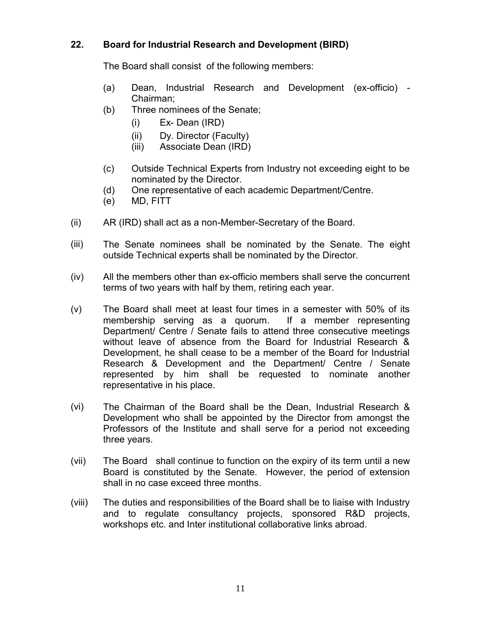### **22. Board for Industrial Research and Development (BIRD)**

The Board shall consist of the following members:

- (a) Dean, Industrial Research and Development (ex-officio) Chairman;
- (b) Three nominees of the Senate;
	- (i) Ex- Dean (IRD)
	- (ii) Dy. Director (Faculty)
	- (iii) Associate Dean (IRD)
- (c) Outside Technical Experts from Industry not exceeding eight to be nominated by the Director.
- (d) One representative of each academic Department/Centre.
- (e) MD, FITT
- (ii) AR (IRD) shall act as a non-Member-Secretary of the Board.
- (iii) The Senate nominees shall be nominated by the Senate. The eight outside Technical experts shall be nominated by the Director.
- (iv) All the members other than ex-officio members shall serve the concurrent terms of two years with half by them, retiring each year.
- (v) The Board shall meet at least four times in a semester with 50% of its membership serving as a quorum. If a member representing Department/ Centre / Senate fails to attend three consecutive meetings without leave of absence from the Board for Industrial Research & Development, he shall cease to be a member of the Board for Industrial Research & Development and the Department/ Centre / Senate represented by him shall be requested to nominate another representative in his place.
- (vi) The Chairman of the Board shall be the Dean, Industrial Research & Development who shall be appointed by the Director from amongst the Professors of the Institute and shall serve for a period not exceeding three years.
- (vii) The Board shall continue to function on the expiry of its term until a new Board is constituted by the Senate. However, the period of extension shall in no case exceed three months.
- (viii) The duties and responsibilities of the Board shall be to liaise with Industry and to regulate consultancy projects, sponsored R&D projects, workshops etc. and Inter institutional collaborative links abroad.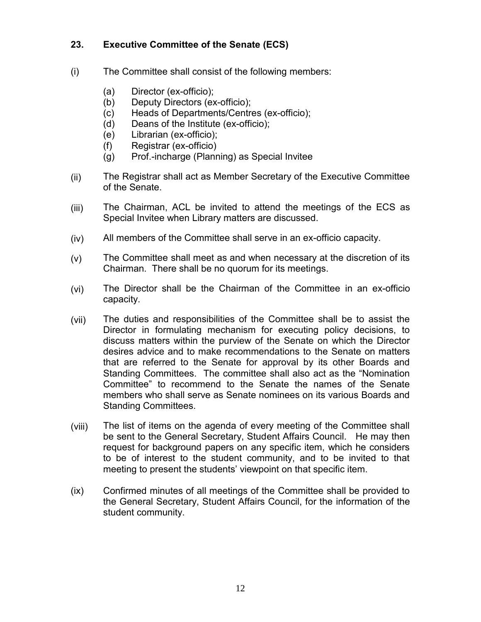#### **23. Executive Committee of the Senate (ECS)**

- (i) The Committee shall consist of the following members:
	- (a) Director (ex-officio);
	- (b) Deputy Directors (ex-officio);
	- (c) Heads of Departments/Centres (ex-officio);
	- (d) Deans of the Institute (ex-officio);
	- (e) Librarian (ex-officio);
	- (f) Registrar (ex-officio)
	- (g) Prof.-incharge (Planning) as Special Invitee
- (ii) The Registrar shall act as Member Secretary of the Executive Committee of the Senate.
- (iii) The Chairman, ACL be invited to attend the meetings of the ECS as Special Invitee when Library matters are discussed.
- (iv) All members of the Committee shall serve in an ex-officio capacity.
- (v) The Committee shall meet as and when necessary at the discretion of its Chairman. There shall be no quorum for its meetings.
- (vi) The Director shall be the Chairman of the Committee in an ex-officio capacity.
- (vii) The duties and responsibilities of the Committee shall be to assist the Director in formulating mechanism for executing policy decisions, to discuss matters within the purview of the Senate on which the Director desires advice and to make recommendations to the Senate on matters that are referred to the Senate for approval by its other Boards and Standing Committees. The committee shall also act as the "Nomination Committee" to recommend to the Senate the names of the Senate members who shall serve as Senate nominees on its various Boards and Standing Committees.
- (viii) The list of items on the agenda of every meeting of the Committee shall be sent to the General Secretary, Student Affairs Council. He may then request for background papers on any specific item, which he considers to be of interest to the student community, and to be invited to that meeting to present the students' viewpoint on that specific item.
- (ix) Confirmed minutes of all meetings of the Committee shall be provided to the General Secretary, Student Affairs Council, for the information of the student community.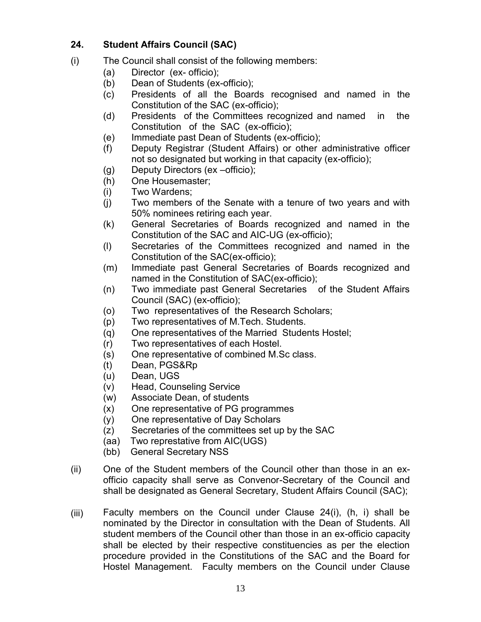#### **24. Student Affairs Council (SAC)**

- (i) The Council shall consist of the following members:
	- (a) Director (ex- officio);
	- (b) Dean of Students (ex-officio);
	- (c) Presidents of all the Boards recognised and named in the Constitution of the SAC (ex-officio);
	- (d) Presidents of the Committees recognized and named in the Constitution of the SAC (ex-officio);
	- (e) Immediate past Dean of Students (ex-officio);
	- (f) Deputy Registrar (Student Affairs) or other administrative officer not so designated but working in that capacity (ex-officio);
	- (g) Deputy Directors (ex –officio);
	- (h) One Housemaster;
	- (i) Two Wardens;
	- (j) Two members of the Senate with a tenure of two years and with 50% nominees retiring each year.
	- (k) General Secretaries of Boards recognized and named in the Constitution of the SAC and AIC-UG (ex-officio);
	- (l) Secretaries of the Committees recognized and named in the Constitution of the SAC(ex-officio);
	- (m) Immediate past General Secretaries of Boards recognized and named in the Constitution of SAC(ex-officio);
	- (n) Two immediate past General Secretaries of the Student Affairs Council (SAC) (ex-officio);
	- (o) Two representatives of the Research Scholars;
	- (p) Two representatives of M.Tech. Students.
	- (q) One representatives of the Married Students Hostel;
	- (r) Two representatives of each Hostel.
	- (s) One representative of combined M.Sc class.
	- (t) Dean, PGS&Rp
	- (u) Dean, UGS
	- (v) Head, Counseling Service
	- (w) Associate Dean, of students
	- (x) One representative of PG programmes
	- (y) One representative of Day Scholars
	- (z) Secretaries of the committees set up by the SAC
	- (aa) Two represtative from AIC(UGS)
	- (bb) General Secretary NSS
- (ii) One of the Student members of the Council other than those in an exofficio capacity shall serve as Convenor-Secretary of the Council and shall be designated as General Secretary, Student Affairs Council (SAC);
- (iii) Faculty members on the Council under Clause 24(i), (h, i) shall be nominated by the Director in consultation with the Dean of Students. All student members of the Council other than those in an ex-officio capacity shall be elected by their respective constituencies as per the election procedure provided in the Constitutions of the SAC and the Board for Hostel Management. Faculty members on the Council under Clause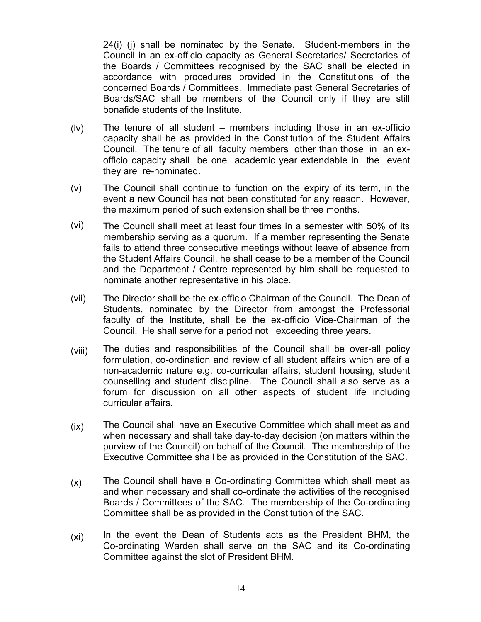24(i) (j) shall be nominated by the Senate. Student-members in the Council in an ex-officio capacity as General Secretaries/ Secretaries of the Boards / Committees recognised by the SAC shall be elected in accordance with procedures provided in the Constitutions of the concerned Boards / Committees. Immediate past General Secretaries of Boards/SAC shall be members of the Council only if they are still bonafide students of the Institute.

- (iv) The tenure of all student – members including those in an ex-officio capacity shall be as provided in the Constitution of the Student Affairs Council. The tenure of all faculty members other than those in an exofficio capacity shall be one academic year extendable in the event they are re-nominated.
- (v) The Council shall continue to function on the expiry of its term, in the event a new Council has not been constituted for any reason. However, the maximum period of such extension shall be three months.
- (vi) The Council shall meet at least four times in a semester with 50% of its membership serving as a quorum. If a member representing the Senate fails to attend three consecutive meetings without leave of absence from the Student Affairs Council, he shall cease to be a member of the Council and the Department / Centre represented by him shall be requested to nominate another representative in his place.
- (vii) The Director shall be the ex-officio Chairman of the Council. The Dean of Students, nominated by the Director from amongst the Professorial faculty of the Institute, shall be the ex-officio Vice-Chairman of the Council. He shall serve for a period not exceeding three years.
- (viii) The duties and responsibilities of the Council shall be over-all policy formulation, co-ordination and review of all student affairs which are of a non-academic nature e.g. co-curricular affairs, student housing, student counselling and student discipline. The Council shall also serve as a forum for discussion on all other aspects of student life including curricular affairs.
- (ix) The Council shall have an Executive Committee which shall meet as and when necessary and shall take day-to-day decision (on matters within the purview of the Council) on behalf of the Council. The membership of the Executive Committee shall be as provided in the Constitution of the SAC.
- (x) The Council shall have a Co-ordinating Committee which shall meet as and when necessary and shall co-ordinate the activities of the recognised Boards / Committees of the SAC. The membership of the Co-ordinating Committee shall be as provided in the Constitution of the SAC.
- (xi) In the event the Dean of Students acts as the President BHM, the Co-ordinating Warden shall serve on the SAC and its Co-ordinating Committee against the slot of President BHM.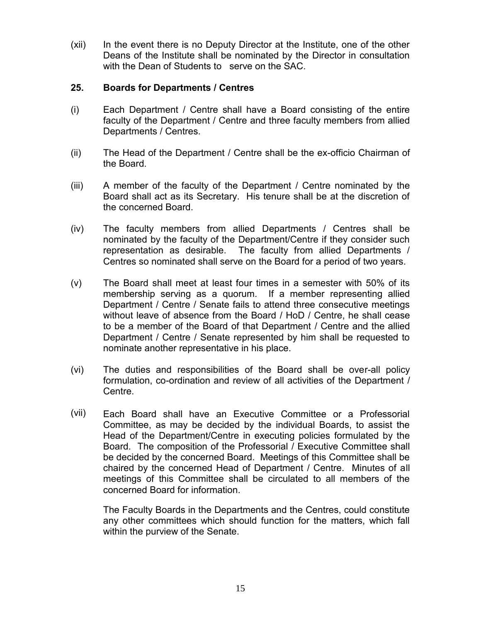(xii) In the event there is no Deputy Director at the Institute, one of the other Deans of the Institute shall be nominated by the Director in consultation with the Dean of Students to serve on the SAC.

#### **25. Boards for Departments / Centres**

- (i) Each Department / Centre shall have a Board consisting of the entire faculty of the Department / Centre and three faculty members from allied Departments / Centres.
- (ii) The Head of the Department / Centre shall be the ex-officio Chairman of the Board.
- (iii) A member of the faculty of the Department / Centre nominated by the Board shall act as its Secretary. His tenure shall be at the discretion of the concerned Board.
- (iv) The faculty members from allied Departments / Centres shall be nominated by the faculty of the Department/Centre if they consider such representation as desirable. The faculty from allied Departments / Centres so nominated shall serve on the Board for a period of two years.
- (v) The Board shall meet at least four times in a semester with 50% of its membership serving as a quorum. If a member representing allied Department / Centre / Senate fails to attend three consecutive meetings without leave of absence from the Board / HoD / Centre, he shall cease to be a member of the Board of that Department / Centre and the allied Department / Centre / Senate represented by him shall be requested to nominate another representative in his place.
- (vi) The duties and responsibilities of the Board shall be over-all policy formulation, co-ordination and review of all activities of the Department / Centre.
- (vii) Each Board shall have an Executive Committee or a Professorial Committee, as may be decided by the individual Boards, to assist the Head of the Department/Centre in executing policies formulated by the Board. The composition of the Professorial / Executive Committee shall be decided by the concerned Board. Meetings of this Committee shall be chaired by the concerned Head of Department / Centre. Minutes of all meetings of this Committee shall be circulated to all members of the concerned Board for information.

The Faculty Boards in the Departments and the Centres, could constitute any other committees which should function for the matters, which fall within the purview of the Senate.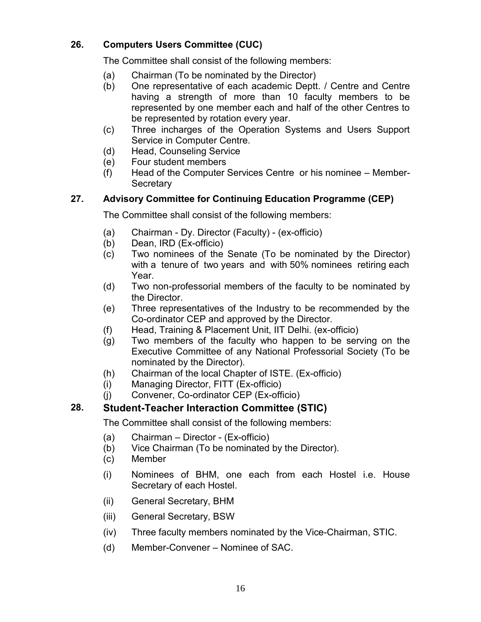# **26. Computers Users Committee (CUC)**

The Committee shall consist of the following members:

- (a) Chairman (To be nominated by the Director)
- (b) One representative of each academic Deptt. / Centre and Centre having a strength of more than 10 faculty members to be represented by one member each and half of the other Centres to be represented by rotation every year.
- (c) Three incharges of the Operation Systems and Users Support Service in Computer Centre.
- (d) Head, Counseling Service
- (e) Four student members
- (f) Head of the Computer Services Centre or his nominee Member-**Secretary**

# **27. Advisory Committee for Continuing Education Programme (CEP)**

The Committee shall consist of the following members:

- (a) Chairman Dy. Director (Faculty) (ex-officio)
- (b) Dean, IRD (Ex-officio)
- (c) Two nominees of the Senate (To be nominated by the Director) with a tenure of two years and with 50% nominees retiring each Year.
- (d) Two non-professorial members of the faculty to be nominated by the Director.
- (e) Three representatives of the Industry to be recommended by the Co-ordinator CEP and approved by the Director.
- (f) Head, Training & Placement Unit, IIT Delhi. (ex-officio)
- (g) Two members of the faculty who happen to be serving on the Executive Committee of any National Professorial Society (To be nominated by the Director).
- (h) Chairman of the local Chapter of ISTE. (Ex-officio)
- (i) Managing Director, FITT (Ex-officio)
- (j) Convener, Co-ordinator CEP (Ex-officio)

# **28. Student-Teacher Interaction Committee (STIC)**

The Committee shall consist of the following members:

- (a) Chairman Director (Ex-officio)
- (b) Vice Chairman (To be nominated by the Director).
- (c) Member
- (i) Nominees of BHM, one each from each Hostel i.e. House Secretary of each Hostel.
- (ii) General Secretary, BHM
- (iii) General Secretary, BSW
- (iv) Three faculty members nominated by the Vice-Chairman, STIC.
- (d) Member-Convener Nominee of SAC.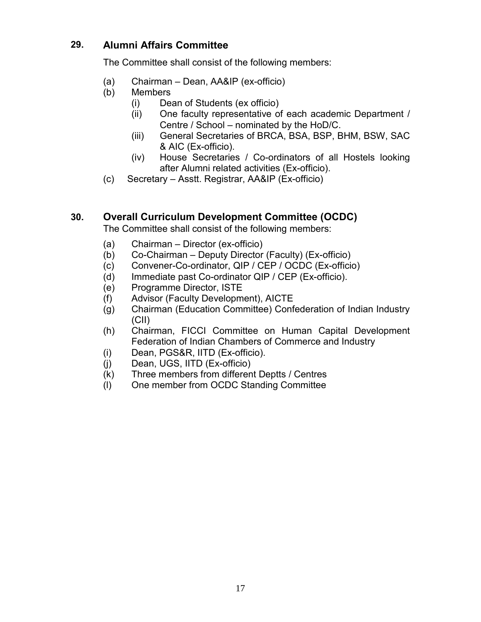# **29. Alumni Affairs Committee**

The Committee shall consist of the following members:

- (a) Chairman Dean, AA&IP (ex-officio)
- (b) Members
	- (i) Dean of Students (ex officio)
	- (ii) One faculty representative of each academic Department / Centre / School – nominated by the HoD/C.
	- (iii) General Secretaries of BRCA, BSA, BSP, BHM, BSW, SAC & AIC (Ex-officio).
	- (iv) House Secretaries / Co-ordinators of all Hostels looking after Alumni related activities (Ex-officio).
- (c) Secretary Asstt. Registrar, AA&IP (Ex-officio)

# **30. Overall Curriculum Development Committee (OCDC)**

The Committee shall consist of the following members:

- (a) Chairman Director (ex-officio)
- (b) Co-Chairman Deputy Director (Faculty) (Ex-officio)
- (c) Convener-Co-ordinator, QIP / CEP / OCDC (Ex-officio)
- (d) Immediate past Co-ordinator QIP / CEP (Ex-officio).
- (e) Programme Director, ISTE
- (f) Advisor (Faculty Development), AICTE
- (g) Chairman (Education Committee) Confederation of Indian Industry (CII)
- (h) Chairman, FICCI Committee on Human Capital Development Federation of Indian Chambers of Commerce and Industry
- (i) Dean, PGS&R, IITD (Ex-officio).
- (j) Dean, UGS, IITD (Ex-officio)
- (k) Three members from different Deptts / Centres
- (l) One member from OCDC Standing Committee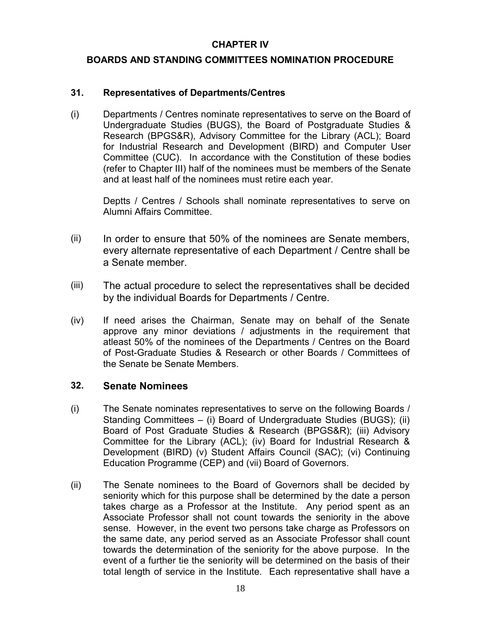#### **CHAPTER IV**

#### **BOARDS AND STANDING COMMITTEES NOMINATION PROCEDURE**

#### **31. Representatives of Departments/Centres**

(i) Departments / Centres nominate representatives to serve on the Board of Undergraduate Studies (BUGS), the Board of Postgraduate Studies & Research (BPGS&R), Advisory Committee for the Library (ACL); Board for Industrial Research and Development (BIRD) and Computer User Committee (CUC). In accordance with the Constitution of these bodies (refer to Chapter III) half of the nominees must be members of the Senate and at least half of the nominees must retire each year.

Deptts / Centres / Schools shall nominate representatives to serve on Alumni Affairs Committee.

- $(ii)$  In order to ensure that 50% of the nominees are Senate members, every alternate representative of each Department / Centre shall be a Senate member.
- (iii) The actual procedure to select the representatives shall be decided by the individual Boards for Departments / Centre.
- (iv) If need arises the Chairman, Senate may on behalf of the Senate approve any minor deviations / adjustments in the requirement that atleast 50% of the nominees of the Departments / Centres on the Board of Post-Graduate Studies & Research or other Boards / Committees of the Senate be Senate Members.

### **32. Senate Nominees**

- (i) The Senate nominates representatives to serve on the following Boards / Standing Committees – (i) Board of Undergraduate Studies (BUGS); (ii) Board of Post Graduate Studies & Research (BPGS&R); (iii) Advisory Committee for the Library (ACL); (iv) Board for Industrial Research & Development (BIRD) (v) Student Affairs Council (SAC); (vi) Continuing Education Programme (CEP) and (vii) Board of Governors.
- (ii) The Senate nominees to the Board of Governors shall be decided by seniority which for this purpose shall be determined by the date a person takes charge as a Professor at the Institute. Any period spent as an Associate Professor shall not count towards the seniority in the above sense. However, in the event two persons take charge as Professors on the same date, any period served as an Associate Professor shall count towards the determination of the seniority for the above purpose. In the event of a further tie the seniority will be determined on the basis of their total length of service in the Institute. Each representative shall have a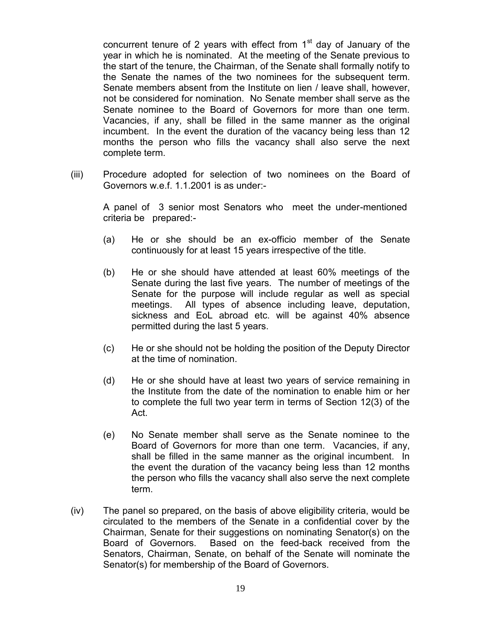concurrent tenure of 2 years with effect from  $1<sup>st</sup>$  day of January of the year in which he is nominated. At the meeting of the Senate previous to the start of the tenure, the Chairman, of the Senate shall formally notify to the Senate the names of the two nominees for the subsequent term. Senate members absent from the Institute on lien / leave shall, however, not be considered for nomination. No Senate member shall serve as the Senate nominee to the Board of Governors for more than one term. Vacancies, if any, shall be filled in the same manner as the original incumbent. In the event the duration of the vacancy being less than 12 months the person who fills the vacancy shall also serve the next complete term.

(iii) Procedure adopted for selection of two nominees on the Board of Governors w.e.f. 1.1.2001 is as under:-

A panel of 3 senior most Senators who meet the under-mentioned criteria be prepared:-

- (a) He or she should be an ex-officio member of the Senate continuously for at least 15 years irrespective of the title.
- (b) He or she should have attended at least 60% meetings of the Senate during the last five years. The number of meetings of the Senate for the purpose will include regular as well as special meetings. All types of absence including leave, deputation, sickness and EoL abroad etc. will be against 40% absence permitted during the last 5 years.
- (c) He or she should not be holding the position of the Deputy Director at the time of nomination.
- (d) He or she should have at least two years of service remaining in the Institute from the date of the nomination to enable him or her to complete the full two year term in terms of Section 12(3) of the Act.
- (e) No Senate member shall serve as the Senate nominee to the Board of Governors for more than one term. Vacancies, if any, shall be filled in the same manner as the original incumbent. In the event the duration of the vacancy being less than 12 months the person who fills the vacancy shall also serve the next complete term.
- (iv) The panel so prepared, on the basis of above eligibility criteria, would be circulated to the members of the Senate in a confidential cover by the Chairman, Senate for their suggestions on nominating Senator(s) on the Board of Governors. Based on the feed-back received from the Senators, Chairman, Senate, on behalf of the Senate will nominate the Senator(s) for membership of the Board of Governors.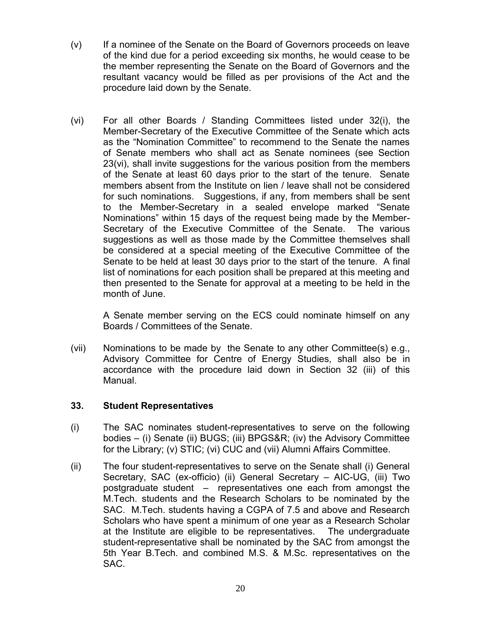- (v) If a nominee of the Senate on the Board of Governors proceeds on leave of the kind due for a period exceeding six months, he would cease to be the member representing the Senate on the Board of Governors and the resultant vacancy would be filled as per provisions of the Act and the procedure laid down by the Senate.
- (vi) For all other Boards / Standing Committees listed under 32(i), the Member-Secretary of the Executive Committee of the Senate which acts as the "Nomination Committee" to recommend to the Senate the names of Senate members who shall act as Senate nominees (see Section 23(vi), shall invite suggestions for the various position from the members of the Senate at least 60 days prior to the start of the tenure. Senate members absent from the Institute on lien / leave shall not be considered for such nominations. Suggestions, if any, from members shall be sent to the Member-Secretary in a sealed envelope marked "Senate Nominations" within 15 days of the request being made by the Member-Secretary of the Executive Committee of the Senate. The various suggestions as well as those made by the Committee themselves shall be considered at a special meeting of the Executive Committee of the Senate to be held at least 30 days prior to the start of the tenure. A final list of nominations for each position shall be prepared at this meeting and then presented to the Senate for approval at a meeting to be held in the month of June.

A Senate member serving on the ECS could nominate himself on any Boards / Committees of the Senate.

(vii) Nominations to be made by the Senate to any other Committee(s) e.g., Advisory Committee for Centre of Energy Studies, shall also be in accordance with the procedure laid down in Section 32 (iii) of this Manual.

#### **33. Student Representatives**

- (i) The SAC nominates student-representatives to serve on the following bodies – (i) Senate (ii) BUGS; (iii) BPGS&R; (iv) the Advisory Committee for the Library; (v) STIC; (vi) CUC and (vii) Alumni Affairs Committee.
- (ii) The four student-representatives to serve on the Senate shall (i) General Secretary, SAC (ex-officio) (ii) General Secretary – AIC-UG, (iii) Two postgraduate student – representatives one each from amongst the M.Tech. students and the Research Scholars to be nominated by the SAC. M.Tech. students having a CGPA of 7.5 and above and Research Scholars who have spent a minimum of one year as a Research Scholar at the Institute are eligible to be representatives. The undergraduate student-representative shall be nominated by the SAC from amongst the 5th Year B.Tech. and combined M.S. & M.Sc. representatives on the SAC.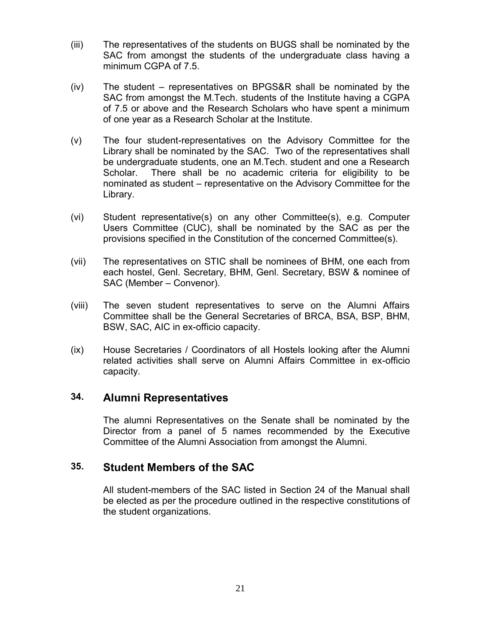- (iii) The representatives of the students on BUGS shall be nominated by the SAC from amongst the students of the undergraduate class having a minimum CGPA of 7.5.
- (iv) The student representatives on BPGS&R shall be nominated by the SAC from amongst the M.Tech. students of the Institute having a CGPA of 7.5 or above and the Research Scholars who have spent a minimum of one year as a Research Scholar at the Institute.
- (v) The four student-representatives on the Advisory Committee for the Library shall be nominated by the SAC. Two of the representatives shall be undergraduate students, one an M.Tech. student and one a Research Scholar. There shall be no academic criteria for eligibility to be nominated as student – representative on the Advisory Committee for the Library.
- (vi) Student representative(s) on any other Committee(s), e.g. Computer Users Committee (CUC), shall be nominated by the SAC as per the provisions specified in the Constitution of the concerned Committee(s).
- (vii) The representatives on STIC shall be nominees of BHM, one each from each hostel, Genl. Secretary, BHM, Genl. Secretary, BSW & nominee of SAC (Member – Convenor).
- (viii) The seven student representatives to serve on the Alumni Affairs Committee shall be the General Secretaries of BRCA, BSA, BSP, BHM, BSW, SAC, AIC in ex-officio capacity.
- (ix) House Secretaries / Coordinators of all Hostels looking after the Alumni related activities shall serve on Alumni Affairs Committee in ex-officio capacity.

# **34. Alumni Representatives**

The alumni Representatives on the Senate shall be nominated by the Director from a panel of 5 names recommended by the Executive Committee of the Alumni Association from amongst the Alumni.

# **35. Student Members of the SAC**

All student-members of the SAC listed in Section 24 of the Manual shall be elected as per the procedure outlined in the respective constitutions of the student organizations.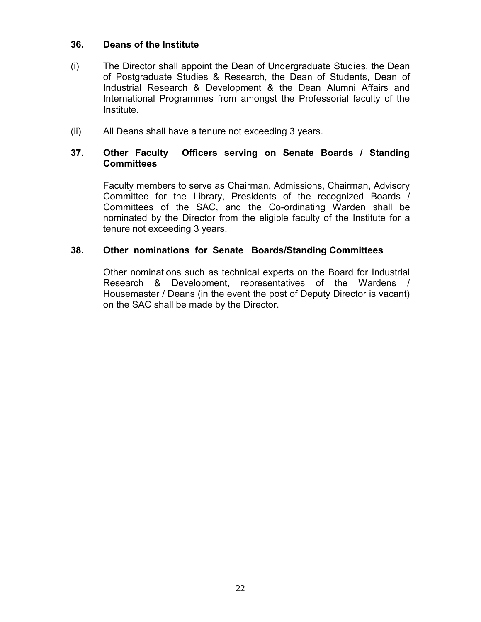#### **36. Deans of the Institute**

- (i) The Director shall appoint the Dean of Undergraduate Studies, the Dean of Postgraduate Studies & Research, the Dean of Students, Dean of Industrial Research & Development & the Dean Alumni Affairs and International Programmes from amongst the Professorial faculty of the Institute.
- (ii) All Deans shall have a tenure not exceeding 3 years.

#### **37. Other Faculty Officers serving on Senate Boards / Standing Committees**

Faculty members to serve as Chairman, Admissions, Chairman, Advisory Committee for the Library, Presidents of the recognized Boards / Committees of the SAC, and the Co-ordinating Warden shall be nominated by the Director from the eligible faculty of the Institute for a tenure not exceeding 3 years.

#### **38. Other nominations for Senate Boards/Standing Committees**

Other nominations such as technical experts on the Board for Industrial Research & Development, representatives of the Wardens / Housemaster / Deans (in the event the post of Deputy Director is vacant) on the SAC shall be made by the Director.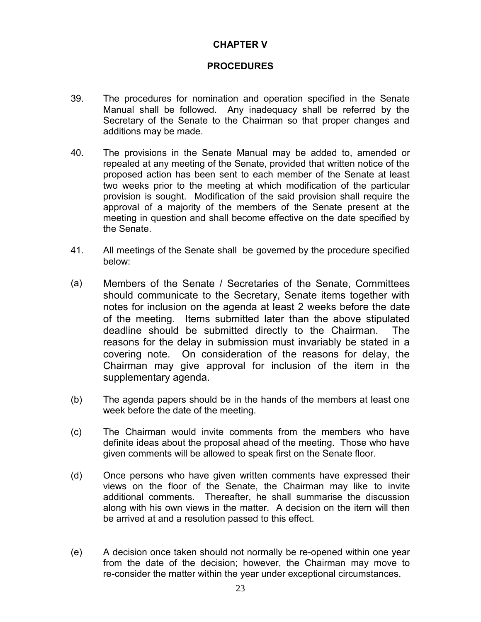#### **CHAPTER V**

#### **PROCEDURES**

- 39. The procedures for nomination and operation specified in the Senate Manual shall be followed. Any inadequacy shall be referred by the Secretary of the Senate to the Chairman so that proper changes and additions may be made.
- 40. The provisions in the Senate Manual may be added to, amended or repealed at any meeting of the Senate, provided that written notice of the proposed action has been sent to each member of the Senate at least two weeks prior to the meeting at which modification of the particular provision is sought. Modification of the said provision shall require the approval of a majority of the members of the Senate present at the meeting in question and shall become effective on the date specified by the Senate.
- 41. All meetings of the Senate shall be governed by the procedure specified below:
- (a) Members of the Senate / Secretaries of the Senate, Committees should communicate to the Secretary, Senate items together with notes for inclusion on the agenda at least 2 weeks before the date of the meeting. Items submitted later than the above stipulated deadline should be submitted directly to the Chairman. The reasons for the delay in submission must invariably be stated in a covering note. On consideration of the reasons for delay, the Chairman may give approval for inclusion of the item in the supplementary agenda.
- (b) The agenda papers should be in the hands of the members at least one week before the date of the meeting.
- (c) The Chairman would invite comments from the members who have definite ideas about the proposal ahead of the meeting. Those who have given comments will be allowed to speak first on the Senate floor.
- (d) Once persons who have given written comments have expressed their views on the floor of the Senate, the Chairman may like to invite additional comments. Thereafter, he shall summarise the discussion along with his own views in the matter. A decision on the item will then be arrived at and a resolution passed to this effect.
- (e) A decision once taken should not normally be re-opened within one year from the date of the decision; however, the Chairman may move to re-consider the matter within the year under exceptional circumstances.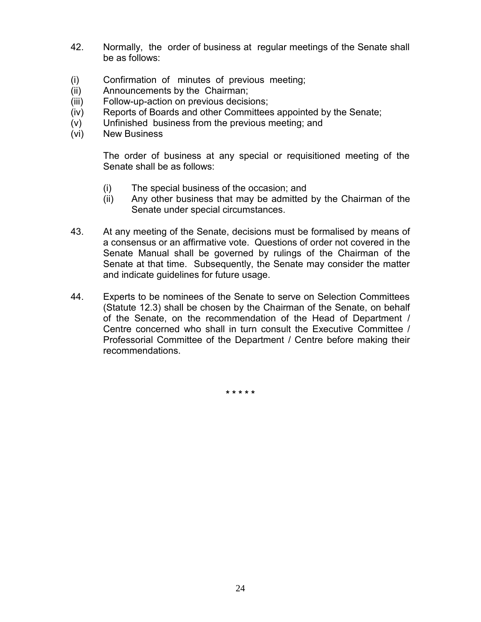- 42. Normally, the order of business at regular meetings of the Senate shall be as follows:
- (i) Confirmation of minutes of previous meeting;
- (ii) Announcements by the Chairman;
- (iii) Follow-up-action on previous decisions;
- (iv) Reports of Boards and other Committees appointed by the Senate;
- (v) Unfinished business from the previous meeting; and
- (vi) New Business

The order of business at any special or requisitioned meeting of the Senate shall be as follows:

- (i) The special business of the occasion; and
- (ii) Any other business that may be admitted by the Chairman of the Senate under special circumstances.
- 43. At any meeting of the Senate, decisions must be formalised by means of a consensus or an affirmative vote. Questions of order not covered in the Senate Manual shall be governed by rulings of the Chairman of the Senate at that time. Subsequently, the Senate may consider the matter and indicate guidelines for future usage.
- 44. Experts to be nominees of the Senate to serve on Selection Committees (Statute 12.3) shall be chosen by the Chairman of the Senate, on behalf of the Senate, on the recommendation of the Head of Department / Centre concerned who shall in turn consult the Executive Committee / Professorial Committee of the Department / Centre before making their recommendations.

**\* \* \* \* \***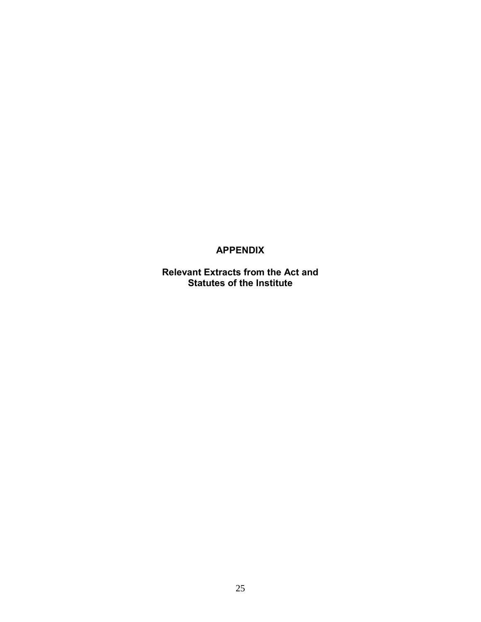## **APPENDIX**

**Relevant Extracts from the Act and Statutes of the Institute**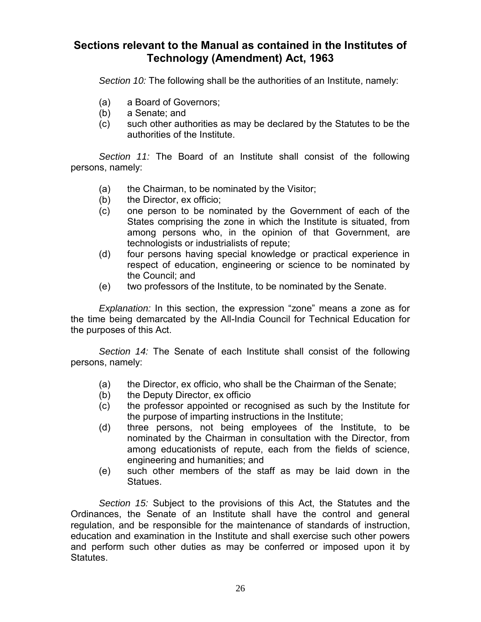# **Sections relevant to the Manual as contained in the Institutes of Technology (Amendment) Act, 1963**

*Section 10:* The following shall be the authorities of an Institute, namely:

- (a) a Board of Governors;
- (b) a Senate; and
- (c) such other authorities as may be declared by the Statutes to be the authorities of the Institute.

*Section 11:* The Board of an Institute shall consist of the following persons, namely:

- (a) the Chairman, to be nominated by the Visitor;
- (b) the Director, ex officio;
- (c) one person to be nominated by the Government of each of the States comprising the zone in which the Institute is situated, from among persons who, in the opinion of that Government, are technologists or industrialists of repute;
- (d) four persons having special knowledge or practical experience in respect of education, engineering or science to be nominated by the Council; and
- (e) two professors of the Institute, to be nominated by the Senate.

*Explanation:* In this section, the expression "zone" means a zone as for the time being demarcated by the All-India Council for Technical Education for the purposes of this Act.

*Section 14:* The Senate of each Institute shall consist of the following persons, namely:

- (a) the Director, ex officio, who shall be the Chairman of the Senate;
- (b) the Deputy Director, ex officio
- (c) the professor appointed or recognised as such by the Institute for the purpose of imparting instructions in the Institute;
- (d) three persons, not being employees of the Institute, to be nominated by the Chairman in consultation with the Director, from among educationists of repute, each from the fields of science, engineering and humanities; and
- (e) such other members of the staff as may be laid down in the Statues.

*Section 15:* Subject to the provisions of this Act, the Statutes and the Ordinances, the Senate of an Institute shall have the control and general regulation, and be responsible for the maintenance of standards of instruction, education and examination in the Institute and shall exercise such other powers and perform such other duties as may be conferred or imposed upon it by Statutes.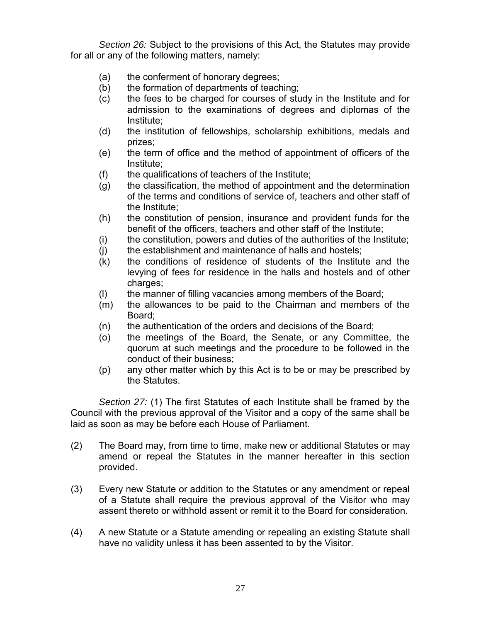*Section 26:* Subject to the provisions of this Act, the Statutes may provide for all or any of the following matters, namely:

- (a) the conferment of honorary degrees;
- (b) the formation of departments of teaching;
- (c) the fees to be charged for courses of study in the Institute and for admission to the examinations of degrees and diplomas of the Institute;
- (d) the institution of fellowships, scholarship exhibitions, medals and prizes;
- (e) the term of office and the method of appointment of officers of the Institute;
- (f) the qualifications of teachers of the Institute;
- (g) the classification, the method of appointment and the determination of the terms and conditions of service of, teachers and other staff of the Institute;
- (h) the constitution of pension, insurance and provident funds for the benefit of the officers, teachers and other staff of the Institute;
- (i) the constitution, powers and duties of the authorities of the Institute;
- (j) the establishment and maintenance of halls and hostels;
- (k) the conditions of residence of students of the Institute and the levying of fees for residence in the halls and hostels and of other charges;
- (l) the manner of filling vacancies among members of the Board;
- (m) the allowances to be paid to the Chairman and members of the Board;
- (n) the authentication of the orders and decisions of the Board;
- (o) the meetings of the Board, the Senate, or any Committee, the quorum at such meetings and the procedure to be followed in the conduct of their business;
- (p) any other matter which by this Act is to be or may be prescribed by the Statutes.

*Section 27:* (1) The first Statutes of each Institute shall be framed by the Council with the previous approval of the Visitor and a copy of the same shall be laid as soon as may be before each House of Parliament.

- (2) The Board may, from time to time, make new or additional Statutes or may amend or repeal the Statutes in the manner hereafter in this section provided.
- (3) Every new Statute or addition to the Statutes or any amendment or repeal of a Statute shall require the previous approval of the Visitor who may assent thereto or withhold assent or remit it to the Board for consideration.
- (4) A new Statute or a Statute amending or repealing an existing Statute shall have no validity unless it has been assented to by the Visitor.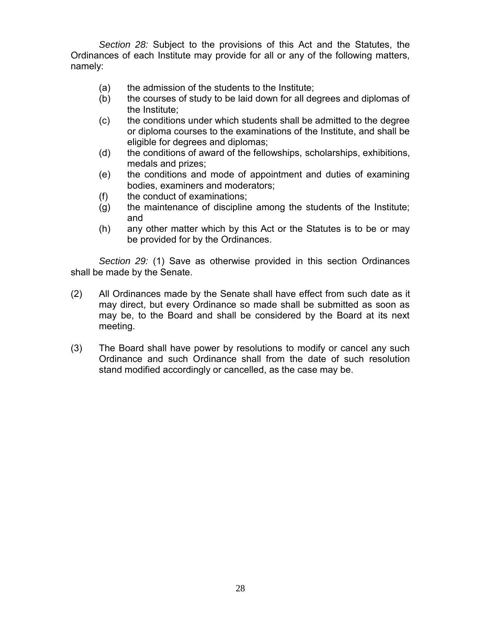*Section 28:* Subject to the provisions of this Act and the Statutes, the Ordinances of each Institute may provide for all or any of the following matters, namely:

- (a) the admission of the students to the Institute;
- (b) the courses of study to be laid down for all degrees and diplomas of the Institute;
- (c) the conditions under which students shall be admitted to the degree or diploma courses to the examinations of the Institute, and shall be eligible for degrees and diplomas;
- (d) the conditions of award of the fellowships, scholarships, exhibitions, medals and prizes;
- (e) the conditions and mode of appointment and duties of examining bodies, examiners and moderators;
- (f) the conduct of examinations;
- (g) the maintenance of discipline among the students of the Institute; and
- (h) any other matter which by this Act or the Statutes is to be or may be provided for by the Ordinances.

*Section 29:* (1) Save as otherwise provided in this section Ordinances shall be made by the Senate.

- (2) All Ordinances made by the Senate shall have effect from such date as it may direct, but every Ordinance so made shall be submitted as soon as may be, to the Board and shall be considered by the Board at its next meeting.
- (3) The Board shall have power by resolutions to modify or cancel any such Ordinance and such Ordinance shall from the date of such resolution stand modified accordingly or cancelled, as the case may be.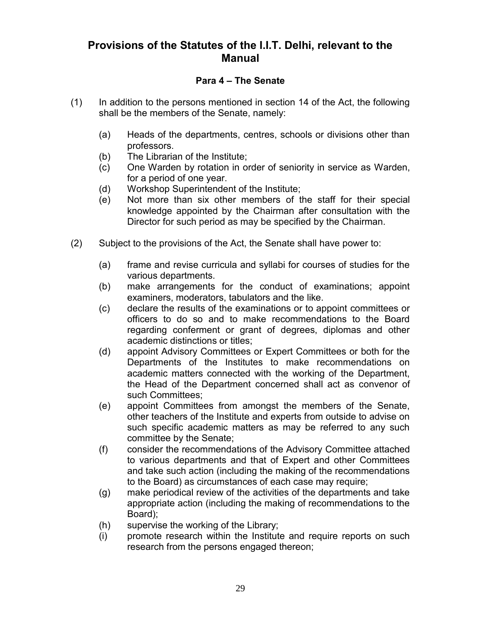# **Provisions of the Statutes of the I.I.T. Delhi, relevant to the Manual**

#### **Para 4 – The Senate**

- (1) In addition to the persons mentioned in section 14 of the Act, the following shall be the members of the Senate, namely:
	- (a) Heads of the departments, centres, schools or divisions other than professors.
	- (b) The Librarian of the Institute;
	- (c) One Warden by rotation in order of seniority in service as Warden, for a period of one year.
	- (d) Workshop Superintendent of the Institute;
	- (e) Not more than six other members of the staff for their special knowledge appointed by the Chairman after consultation with the Director for such period as may be specified by the Chairman.
- (2) Subject to the provisions of the Act, the Senate shall have power to:
	- (a) frame and revise curricula and syllabi for courses of studies for the various departments.
	- (b) make arrangements for the conduct of examinations; appoint examiners, moderators, tabulators and the like.
	- (c) declare the results of the examinations or to appoint committees or officers to do so and to make recommendations to the Board regarding conferment or grant of degrees, diplomas and other academic distinctions or titles;
	- (d) appoint Advisory Committees or Expert Committees or both for the Departments of the Institutes to make recommendations on academic matters connected with the working of the Department, the Head of the Department concerned shall act as convenor of such Committees;
	- (e) appoint Committees from amongst the members of the Senate, other teachers of the Institute and experts from outside to advise on such specific academic matters as may be referred to any such committee by the Senate;
	- (f) consider the recommendations of the Advisory Committee attached to various departments and that of Expert and other Committees and take such action (including the making of the recommendations to the Board) as circumstances of each case may require;
	- (g) make periodical review of the activities of the departments and take appropriate action (including the making of recommendations to the Board);
	- (h) supervise the working of the Library;
	- (i) promote research within the Institute and require reports on such research from the persons engaged thereon;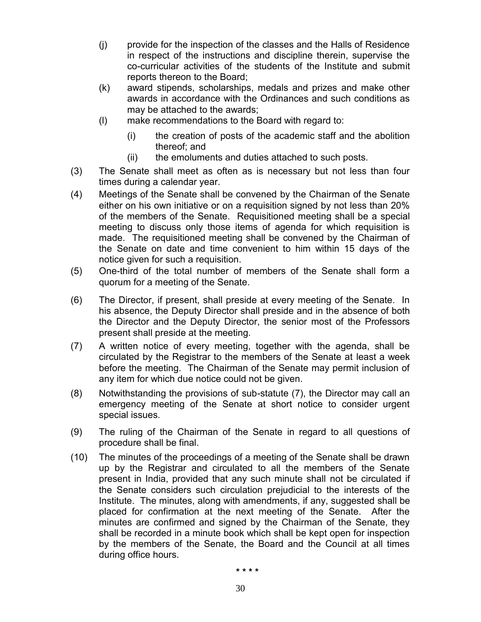- (j) provide for the inspection of the classes and the Halls of Residence in respect of the instructions and discipline therein, supervise the co-curricular activities of the students of the Institute and submit reports thereon to the Board;
- (k) award stipends, scholarships, medals and prizes and make other awards in accordance with the Ordinances and such conditions as may be attached to the awards;
- (l) make recommendations to the Board with regard to:
	- (i) the creation of posts of the academic staff and the abolition thereof; and
	- (ii) the emoluments and duties attached to such posts.
- (3) The Senate shall meet as often as is necessary but not less than four times during a calendar year.
- (4) Meetings of the Senate shall be convened by the Chairman of the Senate either on his own initiative or on a requisition signed by not less than 20% of the members of the Senate. Requisitioned meeting shall be a special meeting to discuss only those items of agenda for which requisition is made. The requisitioned meeting shall be convened by the Chairman of the Senate on date and time convenient to him within 15 days of the notice given for such a requisition.
- (5) One-third of the total number of members of the Senate shall form a quorum for a meeting of the Senate.
- (6) The Director, if present, shall preside at every meeting of the Senate. In his absence, the Deputy Director shall preside and in the absence of both the Director and the Deputy Director, the senior most of the Professors present shall preside at the meeting.
- (7) A written notice of every meeting, together with the agenda, shall be circulated by the Registrar to the members of the Senate at least a week before the meeting. The Chairman of the Senate may permit inclusion of any item for which due notice could not be given.
- (8) Notwithstanding the provisions of sub-statute (7), the Director may call an emergency meeting of the Senate at short notice to consider urgent special issues.
- (9) The ruling of the Chairman of the Senate in regard to all questions of procedure shall be final.
- (10) The minutes of the proceedings of a meeting of the Senate shall be drawn up by the Registrar and circulated to all the members of the Senate present in India, provided that any such minute shall not be circulated if the Senate considers such circulation prejudicial to the interests of the Institute. The minutes, along with amendments, if any, suggested shall be placed for confirmation at the next meeting of the Senate. After the minutes are confirmed and signed by the Chairman of the Senate, they shall be recorded in a minute book which shall be kept open for inspection by the members of the Senate, the Board and the Council at all times during office hours.

**\* \* \* \***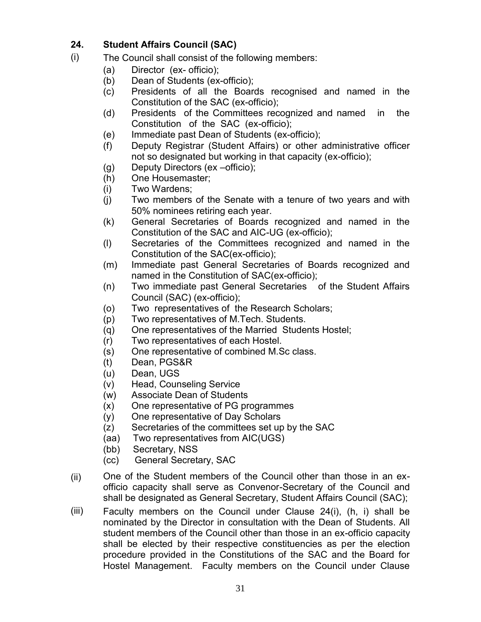#### **24. Student Affairs Council (SAC)**

- (i) The Council shall consist of the following members:
	- (a) Director (ex- officio);
	- (b) Dean of Students (ex-officio);
	- (c) Presidents of all the Boards recognised and named in the Constitution of the SAC (ex-officio);
	- (d) Presidents of the Committees recognized and named in the Constitution of the SAC (ex-officio);
	- (e) Immediate past Dean of Students (ex-officio);
	- (f) Deputy Registrar (Student Affairs) or other administrative officer not so designated but working in that capacity (ex-officio);
	- (g) Deputy Directors (ex –officio);
	- (h) One Housemaster;
	- (i) Two Wardens;
	- (j) Two members of the Senate with a tenure of two years and with 50% nominees retiring each year.
	- (k) General Secretaries of Boards recognized and named in the Constitution of the SAC and AIC-UG (ex-officio);
	- (l) Secretaries of the Committees recognized and named in the Constitution of the SAC(ex-officio);
	- (m) Immediate past General Secretaries of Boards recognized and named in the Constitution of SAC(ex-officio);
	- (n) Two immediate past General Secretaries of the Student Affairs Council (SAC) (ex-officio);
	- (o) Two representatives of the Research Scholars;
	- (p) Two representatives of M.Tech. Students.
	- (q) One representatives of the Married Students Hostel;
	- (r) Two representatives of each Hostel.
	- (s) One representative of combined M.Sc class.
	- (t) Dean, PGS&R
	- (u) Dean, UGS
	- (v) Head, Counseling Service
	- (w) Associate Dean of Students
	- (x) One representative of PG programmes
	- (y) One representative of Day Scholars
	- (z) Secretaries of the committees set up by the SAC
	- (aa) Two representatives from AIC(UGS)
	- (bb) Secretary, NSS
	- (cc) General Secretary, SAC
- (ii) One of the Student members of the Council other than those in an exofficio capacity shall serve as Convenor-Secretary of the Council and shall be designated as General Secretary, Student Affairs Council (SAC);
- (iii) Faculty members on the Council under Clause 24(i), (h, i) shall be nominated by the Director in consultation with the Dean of Students. All student members of the Council other than those in an ex-officio capacity shall be elected by their respective constituencies as per the election procedure provided in the Constitutions of the SAC and the Board for Hostel Management. Faculty members on the Council under Clause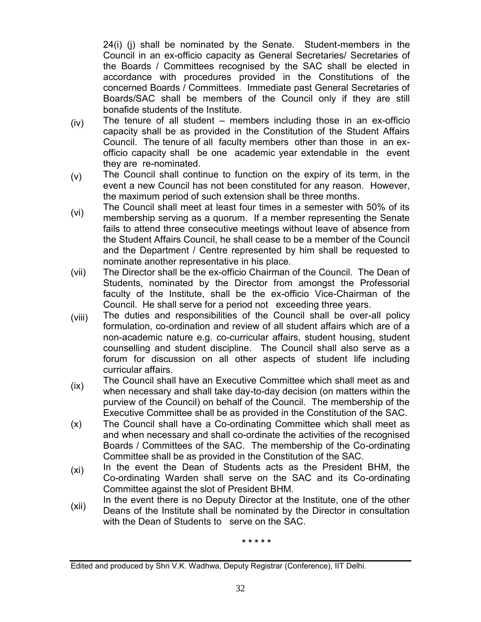24(i) (j) shall be nominated by the Senate. Student-members in the Council in an ex-officio capacity as General Secretaries/ Secretaries of the Boards / Committees recognised by the SAC shall be elected in accordance with procedures provided in the Constitutions of the concerned Boards / Committees. Immediate past General Secretaries of Boards/SAC shall be members of the Council only if they are still bonafide students of the Institute.

- (iv) The tenure of all student – members including those in an ex-officio capacity shall be as provided in the Constitution of the Student Affairs Council. The tenure of all faculty members other than those in an exofficio capacity shall be one academic year extendable in the event they are re-nominated.
- (v) The Council shall continue to function on the expiry of its term, in the event a new Council has not been constituted for any reason. However, the maximum period of such extension shall be three months.
- (vi) The Council shall meet at least four times in a semester with 50% of its membership serving as a quorum. If a member representing the Senate fails to attend three consecutive meetings without leave of absence from the Student Affairs Council, he shall cease to be a member of the Council and the Department / Centre represented by him shall be requested to nominate another representative in his place.
- (vii) The Director shall be the ex-officio Chairman of the Council. The Dean of Students, nominated by the Director from amongst the Professorial faculty of the Institute, shall be the ex-officio Vice-Chairman of the Council. He shall serve for a period not exceeding three years.
- (viii) The duties and responsibilities of the Council shall be over-all policy formulation, co-ordination and review of all student affairs which are of a non-academic nature e.g. co-curricular affairs, student housing, student counselling and student discipline. The Council shall also serve as a forum for discussion on all other aspects of student life including curricular affairs.
- (ix) The Council shall have an Executive Committee which shall meet as and when necessary and shall take day-to-day decision (on matters within the purview of the Council) on behalf of the Council. The membership of the Executive Committee shall be as provided in the Constitution of the SAC.
- (x) The Council shall have a Co-ordinating Committee which shall meet as and when necessary and shall co-ordinate the activities of the recognised Boards / Committees of the SAC. The membership of the Co-ordinating Committee shall be as provided in the Constitution of the SAC.
- (xi) In the event the Dean of Students acts as the President BHM, the Co-ordinating Warden shall serve on the SAC and its Co-ordinating Committee against the slot of President BHM.
- (xii) In the event there is no Deputy Director at the Institute, one of the other Deans of the Institute shall be nominated by the Director in consultation with the Dean of Students to serve on the SAC.

**\* \* \* \* \***

Edited and produced by Shri V.K. Wadhwa, Deputy Registrar (Conference), IIT Delhi.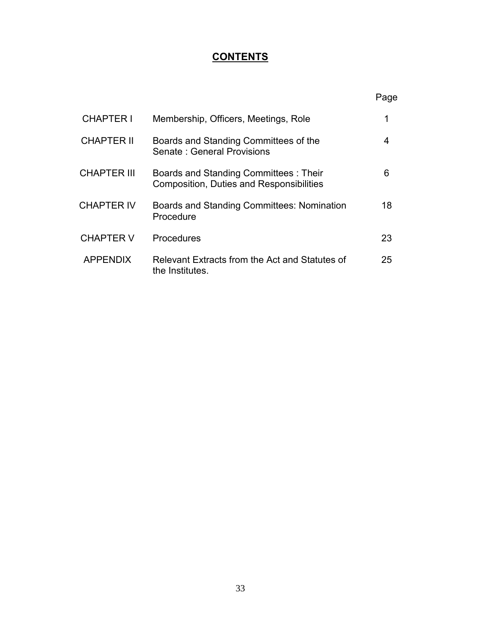# **CONTENTS**

|                    |                                                                                           | Page |
|--------------------|-------------------------------------------------------------------------------------------|------|
| <b>CHAPTER I</b>   | Membership, Officers, Meetings, Role                                                      | 1    |
| <b>CHAPTER II</b>  | Boards and Standing Committees of the<br>Senate: General Provisions                       | 4    |
| <b>CHAPTER III</b> | Boards and Standing Committees : Their<br><b>Composition, Duties and Responsibilities</b> | 6    |
| <b>CHAPTER IV</b>  | Boards and Standing Committees: Nomination<br>Procedure                                   | 18   |
| <b>CHAPTER V</b>   | Procedures                                                                                | 23   |
| <b>APPENDIX</b>    | Relevant Extracts from the Act and Statutes of<br>the Institutes.                         | 25   |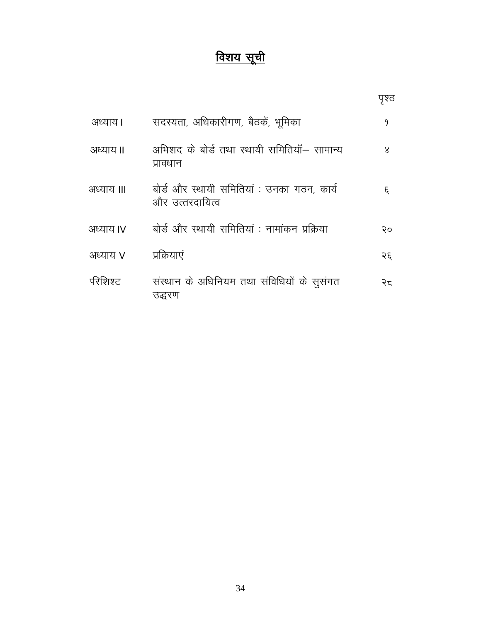# <u>विशय सूची</u>

|            |                                                               | ਧ੍ਰਭ੍ਰ       |
|------------|---------------------------------------------------------------|--------------|
| अध्याय।    | सदस्यता, अधिकारीगण, बैठकें, भूमिका                            | 9            |
| अध्याय II  | अभिशद के बोर्ड तथा स्थायी समितियॉ— सामान्य<br>प्रावधान        | $\mathsf{x}$ |
| अध्याय III | बोर्ड और स्थायी समितियां : उनका गठन, कार्य<br>और उत्तरदायित्व | ٤,           |
| अध्याय IV  | बोर्ड और स्थायी समितियां : नामांकन प्रक्रिया                  | २०           |
| अध्याय V   | प्रक्रियाएं                                                   | २६           |
| पेरेशिश्ट  | संस्थान के अधिनियम तथा संविधियों के सुसंगत<br>उद्धरण          | २८           |